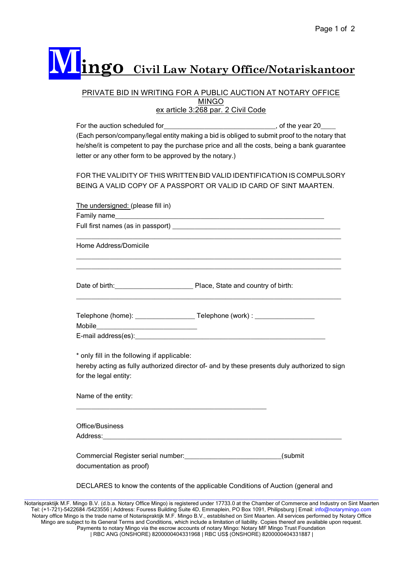## **Mingo Civil Law Notary Office/Notariskantoor**

## PRIVATE BID IN WRITING FOR A PUBLIC AUCTION AT NOTARY OFFICE MINGO ex article 3:268 par. 2 Civil Code

| For the auction scheduled for                                                                | , of the year $20$ |
|----------------------------------------------------------------------------------------------|--------------------|
| (Each person/company/legal entity making a bid is obliged to submit proof to the notary that |                    |
| he/she/it is competent to pay the purchase price and all the costs, being a bank guarantee   |                    |
| letter or any other form to be approved by the notary.)                                      |                    |

FOR THE VALIDITY OF THIS WRITTEN BID VALID IDENTIFICATION IS COMPULSORY BEING A VALID COPY OF A PASSPORT OR VALID ID CARD OF SINT MAARTEN.

| The undersigned: (please fill in)                                                                               |                                                                                              |
|-----------------------------------------------------------------------------------------------------------------|----------------------------------------------------------------------------------------------|
| Family name https://www.archive.com/communications/communications/communications/communications/communications/ |                                                                                              |
|                                                                                                                 |                                                                                              |
| Home Address/Domicile                                                                                           |                                                                                              |
|                                                                                                                 | ,我们也不会有什么。""我们的人,我们也不会有什么?""我们的人,我们也不会有什么?""我们的人,我们也不会有什么?""我们的人,我们也不会有什么?""我们的人             |
| Mobile __________________________________                                                                       |                                                                                              |
|                                                                                                                 |                                                                                              |
| * only fill in the following if applicable:                                                                     |                                                                                              |
|                                                                                                                 | hereby acting as fully authorized director of- and by these presents duly authorized to sign |
| for the legal entity:                                                                                           |                                                                                              |
| Name of the entity:                                                                                             |                                                                                              |
| Office/Business                                                                                                 |                                                                                              |
|                                                                                                                 |                                                                                              |
| documentation as proof)                                                                                         | Commercial Register serial number: _________________________________(submit                  |
|                                                                                                                 | DECLARES to know the contents of the applicable Conditions of Auction (general and           |

\_\_\_\_\_\_\_\_\_\_\_\_\_\_\_\_\_\_\_\_\_\_\_\_\_\_\_\_\_\_\_\_\_\_\_\_\_\_\_\_\_\_\_\_\_\_\_\_\_\_\_\_\_\_\_\_\_\_\_\_\_\_\_\_\_\_\_\_\_\_\_\_\_\_\_\_\_\_\_\_\_\_\_\_\_\_\_\_\_\_\_\_\_\_\_\_\_\_\_\_\_\_\_\_\_\_\_\_\_\_\_\_\_\_\_ Notarispraktijk M.F. Mingo B.V. (d.b.a. Notary Office Mingo) is registered under 17733.0 at the Chamber of Commerce and Industry on Sint Maarten Tel: (+1-721)-5422684 /5423556 | Address: Fouress Building Suite 4D, Emmaplein, PO Box 1091, Philipsburg | Email: info@notarymingo.com Notary office Mingo is the trade name of Notarispraktijk M.F. Mingo B.V., established on Sint Maarten. All services performed by Notary Office Mingo are subject to its General Terms and Conditions, which include a limitation of liability. Copies thereof are available upon request. Payments to notary Mingo via the escrow accounts of notary Mingo: Notary MF Mingo Trust Foundation | RBC ANG (ONSHORE) 8200000404331968 | RBC US\$ (ONSHORE) 8200000404331887 |